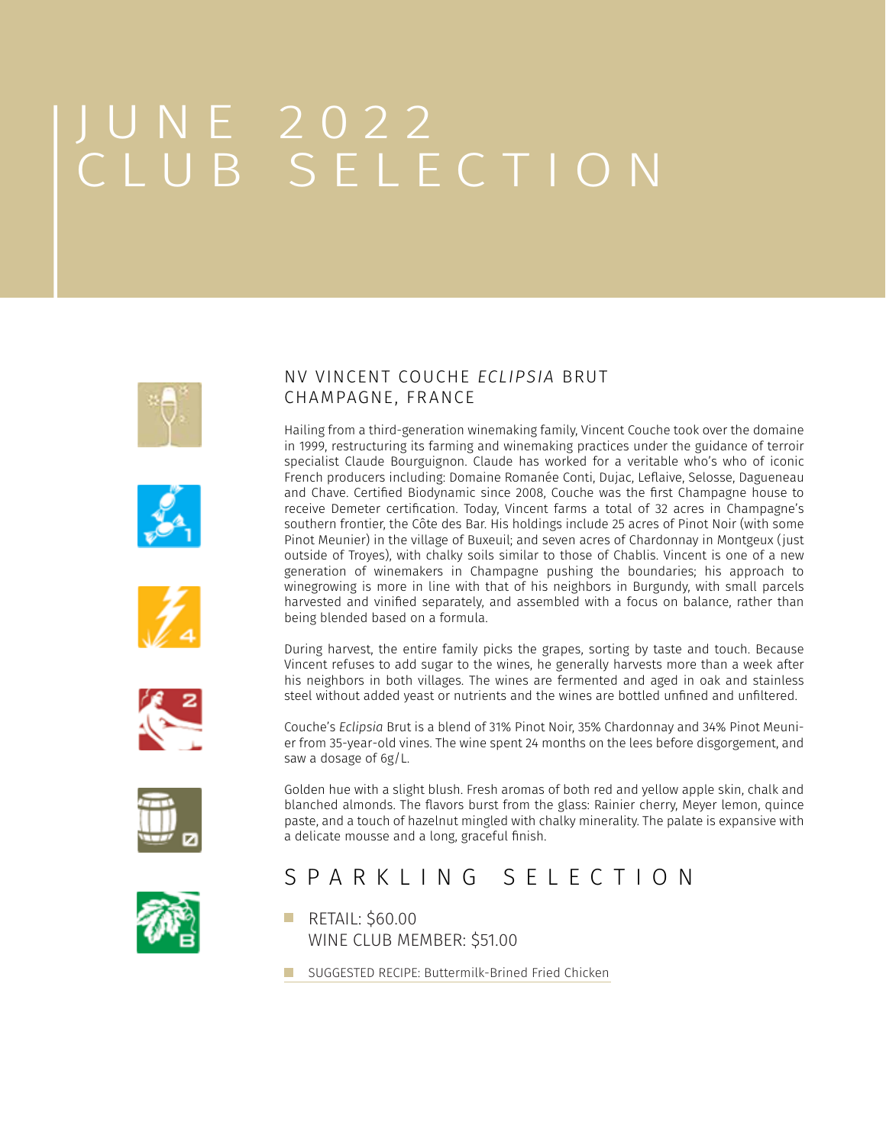# JUNE 2022 CLUB SELECTION









During harvest, the entire family picks the grapes, sorting by taste and touch. Because Vincent refuses to add sugar to the wines, he generally harvests more than a week after his neighbors in both villages. The wines are fermented and aged in oak and stainless steel without added yeast or nutrients and the wines are bottled unfined and unfiltered.

Couche's *Eclipsia* Brut is a blend of 31% Pinot Noir, 35% Chardonnay and 34% Pinot Meunier from 35-year-old vines. The wine spent 24 months on the lees before disgorgement, and saw a dosage of 6g/L.

Golden hue with a slight blush. Fresh aromas of both red and yellow apple skin, chalk and blanched almonds. The flavors burst from the glass: Rainier cherry, Meyer lemon, quince paste, and a touch of hazelnut mingled with chalky minerality. The palate is expansive with a delicate mousse and a long, graceful finish.



### SPARKLING SELECTION

- **RETAIL: \$60.00** WINE CLUB MEMBER: \$51.00
- **[SUGGESTED RECIPE: Buttermilk-Brined Fried Chicken](https://www.seriouseats.com/the-food-lab-southern-fried-chicken-recipe)**

### NV VINCENT COUCHE *ECLIPSIA* BRUT CHAMPAGNE, FRANCE

Hailing from a third-generation winemaking family, Vincent Couche took over the domaine in 1999, restructuring its farming and winemaking practices under the guidance of terroir specialist Claude Bourguignon. Claude has worked for a veritable who's who of iconic French producers including: Domaine Romanée Conti, Dujac, Leflaive, Selosse, Dagueneau and Chave. Certified Biodynamic since 2008, Couche was the first Champagne house to receive Demeter certification. Today, Vincent farms a total of 32 acres in Champagne's southern frontier, the Côte des Bar. His holdings include 25 acres of Pinot Noir (with some Pinot Meunier) in the village of Buxeuil; and seven acres of Chardonnay in Montgeux (just outside of Troyes), with chalky soils similar to those of Chablis. Vincent is one of a new generation of winemakers in Champagne pushing the boundaries; his approach to winegrowing is more in line with that of his neighbors in Burgundy, with small parcels harvested and vinified separately, and assembled with a focus on balance, rather than being blended based on a formula.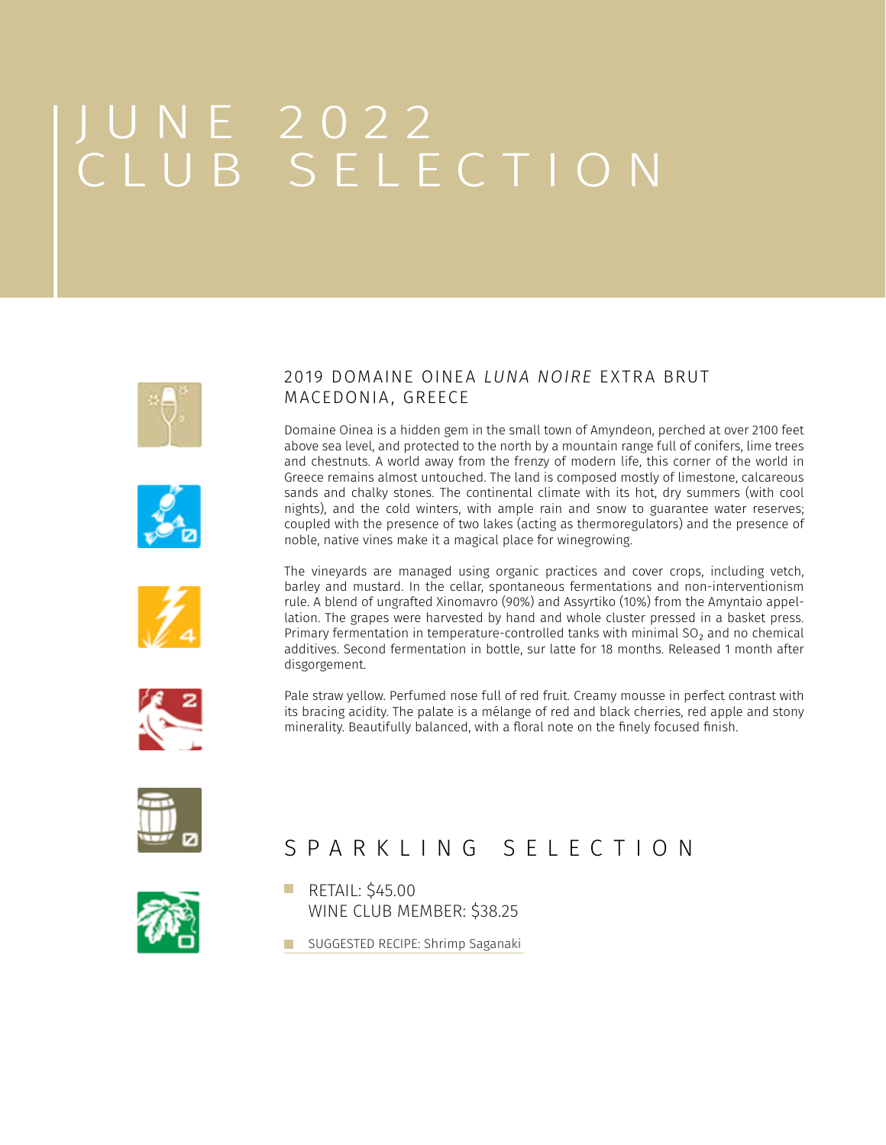# JUNE 2022 CLUB SELECTION

MACEDONIA, GREECE









2019 DOMAINE OINEA *LUNA NOIRE* EXTRA BRUT

and chestnuts. A world away from the frenzy of modern life, this corner of the world in Greece remains almost untouched. The land is composed mostly of limestone, calcareous sands and chalky stones. The continental climate with its hot, dry summers (with cool nights), and the cold winters, with ample rain and snow to guarantee water reserves; coupled with the presence of two lakes (acting as thermoregulators) and the presence of noble, native vines make it a magical place for winegrowing.

The vineyards are managed using organic practices and cover crops, including vetch, barley and mustard. In the cellar, spontaneous fermentations and non-interventionism rule. A blend of ungrafted Xinomavro (90%) and Assyrtiko (10%) from the Amyntaio appellation. The grapes were harvested by hand and whole cluster pressed in a basket press. Primary fermentation in temperature-controlled tanks with minimal SO₂ and no chemical additives. Second fermentation in bottle, sur latte for 18 months. Released 1 month after disgorgement.



Pale straw yellow. Perfumed nose full of red fruit. Creamy mousse in perfect contrast with its bracing acidity. The palate is a mélange of red and black cherries, red apple and stony minerality. Beautifully balanced, with a floral note on the finely focused finish.



## SPARKLING SELECTION



#### **RETAIL: \$45.00** WINE CLUB MEMBER: \$38.25

**[SUGGESTED RECIPE: Shrimp Saganaki](https://www.saveur.com/article/Recipes/Shrimp-with-Feta/)**